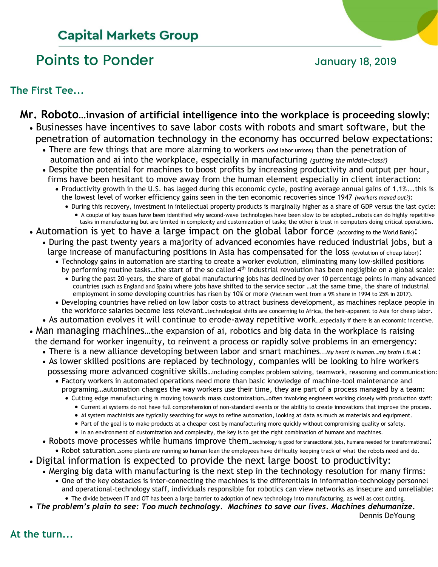# **Capital Markets Group**

# Points to Ponder and Tanuary 18, 2019

**The First Tee...**

# **Mr. Roboto…invasion of artificial intelligence into the workplace is proceeding slowly:**

- Businesses have incentives to save labor costs with robots and smart software, but the penetration of automation technology in the economy has occurred below expectations:
	- There are few things that are more alarming to workers (and labor unions) than the penetration of automation and ai into the workplace, especially in manufacturing *(gutting the middle-class?)*
	- Despite the potential for machines to boost profits by increasing productivity and output per hour, firms have been hesitant to move away from the human element especially in client interaction:
		- Productivity growth in the U.S. has lagged during this economic cycle, posting average annual gains of 1.1%...this is the lowest level of worker efficiency gains seen in the ten economic recoveries since 1947 *(workers maxed out?)*:
			- During this recovery, investment in intellectual property products is marginally higher as a share of GDP versus the last cycle: • A couple of key issues have been identified why second-wave technologies have been slow to be adopted…robots can do highly repetitive tasks in manufacturing but are limited in complexity and customization of tasks; the other is trust in computers doing critical operations.
- Automation is yet to have a large impact on the global labor force (according to the World Bank):
	- During the past twenty years a majority of advanced economies have reduced industrial jobs, but a large increase of manufacturing positions in Asia has compensated for the loss (evolution of cheap labor):
		- Technology gains in automation are starting to create a worker evolution, eliminating many low-skilled positions by performing routine tasks...the start of the so called 4<sup>th</sup> industrial revolution has been negligible on a global scale:
			- During the past 20-years, the share of global manufacturing jobs has declined by over 10 percentage points in many advanced countries (such as England and Spain) where jobs have shifted to the service sector …at the same time, the share of industrial employment in some developing countries has risen by 10% or more (Vietnam went from a 9% share in 1994 to 25% in 2017).
		- Developing countries have relied on low labor costs to attract business development, as machines replace people in the workforce salaries become less relevant…technological shifts are concerning to Africa, the heir-apparent to Asia for cheap labor.
	- As automation evolves it will continue to erode-away repetitive work…especially if there is an economic incentive.
	- Man managing machines…the expansion of ai, robotics and big data in the workplace is raising the demand for worker ingenuity, to reinvent a process or rapidly solve problems in an emergency:
		- There is a new alliance developing between labor and smart machines*...My heart is human…my brain I.B.M.*:
		- As lower skilled positions are replaced by technology, companies will be looking to hire workers possessing more advanced cognitive skills…including complex problem solving, teamwork, reasoning and communication:
			- Factory workers in automated operations need more than basic knowledge of machine-tool maintenance and programing…automation changes the way workers use their time, they are part of a process managed by a team:
				- Cutting edge manufacturing is moving towards mass customization…often involving engineers working closely with production staff:
					- Current ai systems do not have full comprehension of non-standard events or the ability to create innovations that improve the process.
					- Ai system machinists are typically searching for ways to refine automation, looking at data as much as materials and equipment.
					- Part of the goal is to make products at a cheaper cost by manufacturing more quickly without compromising quality or safety.
				- In an environment of customization and complexity, the key is to get the right combination of humans and machines.
		- Robots move processes while humans improve them...technology is good for transactional jobs, humans needed for transformational: • Robot saturation…some plants are running so human lean the employees have difficulty keeping track of what the robots need and do.
	- Digital information is expected to provide the next large boost to productivity:
	- Merging big data with manufacturing is the next step in the technology resolution for many firms:
		- One of the key obstacles is inter-connecting the machines is the differentials in information-technology personnel and operational-technology staff, individuals responsible for robotics can view networks as insecure and unreliable: • The divide between IT and OT has been a large barrier to adoption of new technology into manufacturing, as well as cost cutting.
- The problem's plain to see: Too much technology. Machines to save our lives. Machines dehumanize.

**Dennis DeYoung** 

**At the turn...**